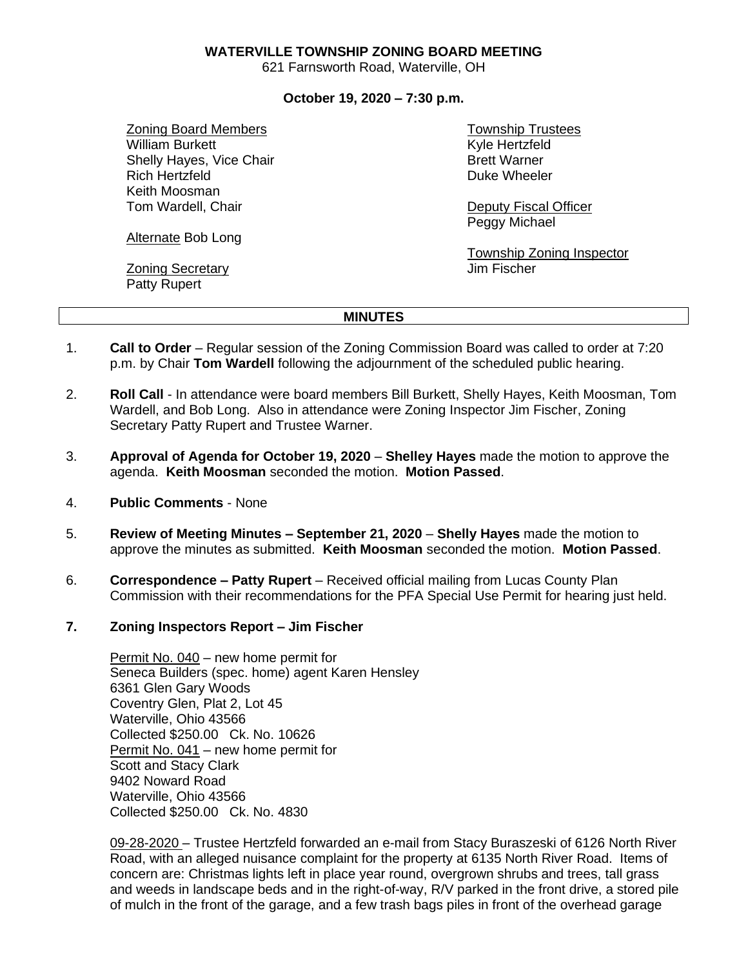## **WATERVILLE TOWNSHIP ZONING BOARD MEETING**

621 Farnsworth Road, Waterville, OH

## **October 19, 2020 – 7:30 p.m.**

Zoning Board Members William Burkett Shelly Hayes, Vice Chair Rich Hertzfeld Keith Moosman Tom Wardell, Chair

Alternate Bob Long

Zoning Secretary Patty Rupert

Township Trustees Kyle Hertzfeld Brett Warner Duke Wheeler

Deputy Fiscal Officer Peggy Michael

Township Zoning Inspector Jim Fischer

## **MINUTES**

- 1. **Call to Order** Regular session of the Zoning Commission Board was called to order at 7:20 p.m. by Chair **Tom Wardell** following the adjournment of the scheduled public hearing.
- 2. **Roll Call** In attendance were board members Bill Burkett, Shelly Hayes, Keith Moosman, Tom Wardell, and Bob Long. Also in attendance were Zoning Inspector Jim Fischer, Zoning Secretary Patty Rupert and Trustee Warner.
- 3. **Approval of Agenda for October 19, 2020 Shelley Hayes** made the motion to approve the agenda. **Keith Moosman** seconded the motion. **Motion Passed**.
- 4. **Public Comments** None
- 5. **Review of Meeting Minutes – September 21, 2020 Shelly Hayes** made the motion to approve the minutes as submitted. **Keith Moosman** seconded the motion. **Motion Passed**.
- 6. **Correspondence – Patty Rupert** Received official mailing from Lucas County Plan Commission with their recommendations for the PFA Special Use Permit for hearing just held.

## **7. Zoning Inspectors Report – Jim Fischer**

Permit No. 040 – new home permit for Seneca Builders (spec. home) agent Karen Hensley 6361 Glen Gary Woods Coventry Glen, Plat 2, Lot 45 Waterville, Ohio 43566 Collected \$250.00 Ck. No. 10626 Permit No. 041 – new home permit for Scott and Stacy Clark 9402 Noward Road Waterville, Ohio 43566 Collected \$250.00 Ck. No. 4830

09-28-2020 – Trustee Hertzfeld forwarded an e-mail from Stacy Buraszeski of 6126 North River Road, with an alleged nuisance complaint for the property at 6135 North River Road. Items of concern are: Christmas lights left in place year round, overgrown shrubs and trees, tall grass and weeds in landscape beds and in the right-of-way, R/V parked in the front drive, a stored pile of mulch in the front of the garage, and a few trash bags piles in front of the overhead garage